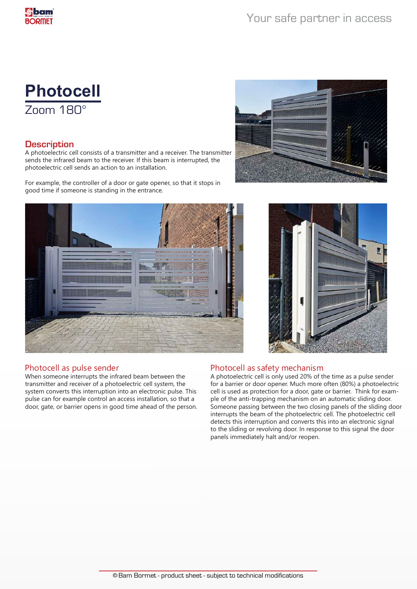# **Photocell** Zoom 180°

### **Description**

A photoelectric cell consists of a transmitter and a receiver. The transmitter sends the infrared beam to the receiver. If this beam is interrupted, the photoelectric cell sends an action to an installation.

For example, the controller of a door or gate opener, so that it stops in good time if someone is standing in the entrance.







### Photocell as pulse sender

When someone interrupts the infrared beam between the transmitter and receiver of a photoelectric cell system, the system converts this interruption into an electronic pulse. This pulse can for example control an access installation, so that a door, gate, or barrier opens in good time ahead of the person.

### Photocell as safety mechanism

A photoelectric cell is only used 20% of the time as a pulse sender for a barrier or door opener. Much more often (80%) a photoelectric cell is used as protection for a door, gate or barrier. Think for example of the anti-trapping mechanism on an automatic sliding door. Someone passing between the two closing panels of the sliding door interrupts the beam of the photoelectric cell. The photoelectric cell detects this interruption and converts this into an electronic signal to the sliding or revolving door. In response to this signal the door panels immediately halt and/or reopen.